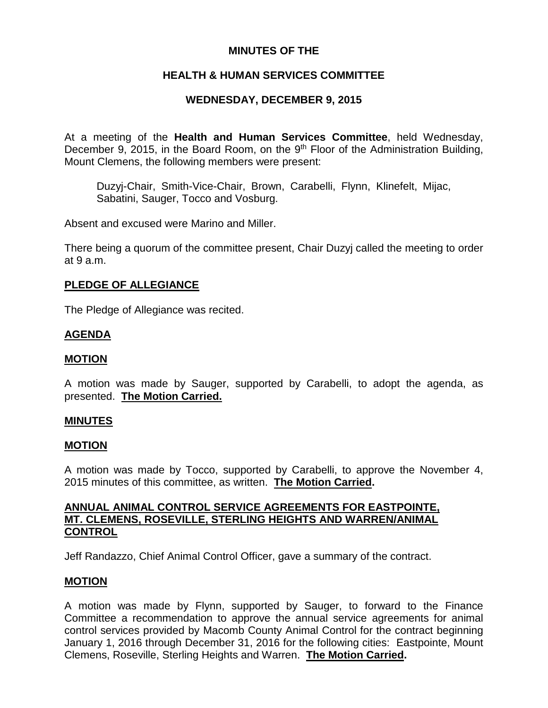### **MINUTES OF THE**

## **HEALTH & HUMAN SERVICES COMMITTEE**

## **WEDNESDAY, DECEMBER 9, 2015**

At a meeting of the **Health and Human Services Committee**, held Wednesday, December 9, 2015, in the Board Room, on the  $9<sup>th</sup>$  Floor of the Administration Building, Mount Clemens, the following members were present:

Duzyj-Chair, Smith-Vice-Chair, Brown, Carabelli, Flynn, Klinefelt, Mijac, Sabatini, Sauger, Tocco and Vosburg.

Absent and excused were Marino and Miller.

There being a quorum of the committee present, Chair Duzyj called the meeting to order at 9 a.m.

#### **PLEDGE OF ALLEGIANCE**

The Pledge of Allegiance was recited.

#### **AGENDA**

#### **MOTION**

A motion was made by Sauger, supported by Carabelli, to adopt the agenda, as presented. **The Motion Carried.**

#### **MINUTES**

#### **MOTION**

A motion was made by Tocco, supported by Carabelli, to approve the November 4, 2015 minutes of this committee, as written. **The Motion Carried.**

#### **ANNUAL ANIMAL CONTROL SERVICE AGREEMENTS FOR EASTPOINTE, MT. CLEMENS, ROSEVILLE, STERLING HEIGHTS AND WARREN/ANIMAL CONTROL**

Jeff Randazzo, Chief Animal Control Officer, gave a summary of the contract.

#### **MOTION**

A motion was made by Flynn, supported by Sauger, to forward to the Finance Committee a recommendation to approve the annual service agreements for animal control services provided by Macomb County Animal Control for the contract beginning January 1, 2016 through December 31, 2016 for the following cities: Eastpointe, Mount Clemens, Roseville, Sterling Heights and Warren. **The Motion Carried.**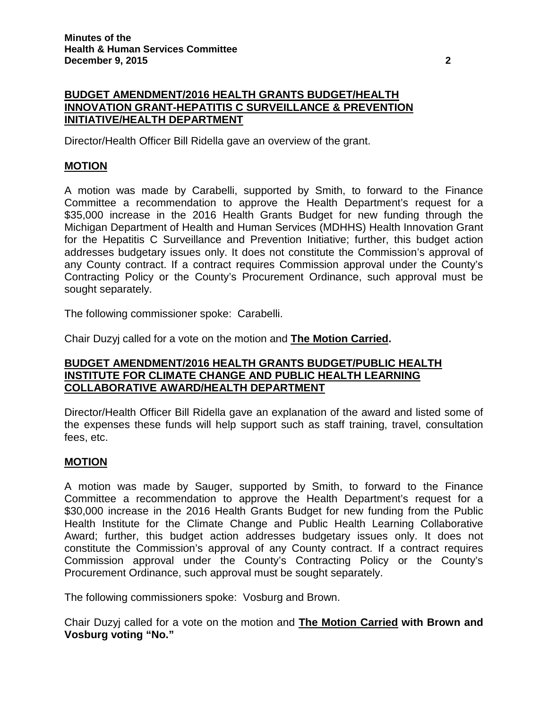## **BUDGET AMENDMENT/2016 HEALTH GRANTS BUDGET/HEALTH INNOVATION GRANT-HEPATITIS C SURVEILLANCE & PREVENTION INITIATIVE/HEALTH DEPARTMENT**

Director/Health Officer Bill Ridella gave an overview of the grant.

## **MOTION**

A motion was made by Carabelli, supported by Smith, to forward to the Finance Committee a recommendation to approve the Health Department's request for a \$35,000 increase in the 2016 Health Grants Budget for new funding through the Michigan Department of Health and Human Services (MDHHS) Health Innovation Grant for the Hepatitis C Surveillance and Prevention Initiative; further, this budget action addresses budgetary issues only. It does not constitute the Commission's approval of any County contract. If a contract requires Commission approval under the County's Contracting Policy or the County's Procurement Ordinance, such approval must be sought separately.

The following commissioner spoke: Carabelli.

Chair Duzyj called for a vote on the motion and **The Motion Carried.**

#### **BUDGET AMENDMENT/2016 HEALTH GRANTS BUDGET/PUBLIC HEALTH INSTITUTE FOR CLIMATE CHANGE AND PUBLIC HEALTH LEARNING COLLABORATIVE AWARD/HEALTH DEPARTMENT**

Director/Health Officer Bill Ridella gave an explanation of the award and listed some of the expenses these funds will help support such as staff training, travel, consultation fees, etc.

### **MOTION**

A motion was made by Sauger, supported by Smith, to forward to the Finance Committee a recommendation to approve the Health Department's request for a \$30,000 increase in the 2016 Health Grants Budget for new funding from the Public Health Institute for the Climate Change and Public Health Learning Collaborative Award; further, this budget action addresses budgetary issues only. It does not constitute the Commission's approval of any County contract. If a contract requires Commission approval under the County's Contracting Policy or the County's Procurement Ordinance, such approval must be sought separately.

The following commissioners spoke: Vosburg and Brown.

Chair Duzyj called for a vote on the motion and **The Motion Carried with Brown and Vosburg voting "No."**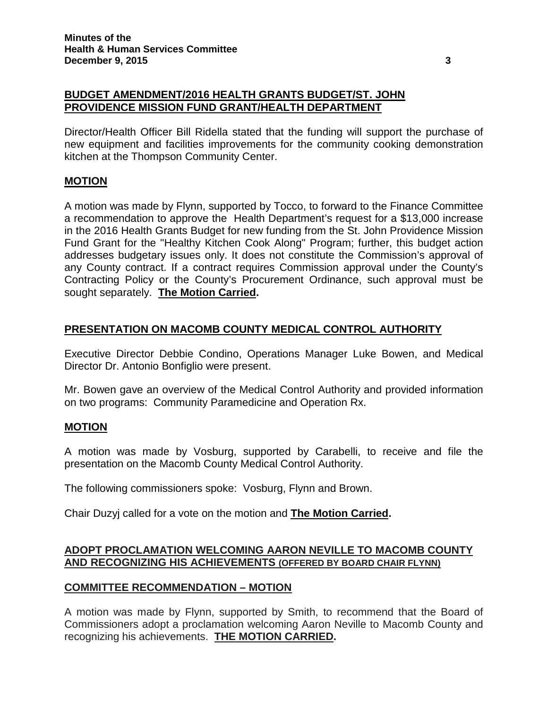## **BUDGET AMENDMENT/2016 HEALTH GRANTS BUDGET/ST. JOHN PROVIDENCE MISSION FUND GRANT/HEALTH DEPARTMENT**

Director/Health Officer Bill Ridella stated that the funding will support the purchase of new equipment and facilities improvements for the community cooking demonstration kitchen at the Thompson Community Center.

# **MOTION**

A motion was made by Flynn, supported by Tocco, to forward to the Finance Committee a recommendation to approve the Health Department's request for a \$13,000 increase in the 2016 Health Grants Budget for new funding from the St. John Providence Mission Fund Grant for the "Healthy Kitchen Cook Along" Program; further, this budget action addresses budgetary issues only. It does not constitute the Commission's approval of any County contract. If a contract requires Commission approval under the County's Contracting Policy or the County's Procurement Ordinance, such approval must be sought separately. **The Motion Carried.**

## **PRESENTATION ON MACOMB COUNTY MEDICAL CONTROL AUTHORITY**

Executive Director Debbie Condino, Operations Manager Luke Bowen, and Medical Director Dr. Antonio Bonfiglio were present.

Mr. Bowen gave an overview of the Medical Control Authority and provided information on two programs: Community Paramedicine and Operation Rx.

### **MOTION**

A motion was made by Vosburg, supported by Carabelli, to receive and file the presentation on the Macomb County Medical Control Authority.

The following commissioners spoke: Vosburg, Flynn and Brown.

Chair Duzyj called for a vote on the motion and **The Motion Carried.**

## **ADOPT PROCLAMATION WELCOMING AARON NEVILLE TO MACOMB COUNTY AND RECOGNIZING HIS ACHIEVEMENTS (OFFERED BY BOARD CHAIR FLYNN)**

# **COMMITTEE RECOMMENDATION – MOTION**

A motion was made by Flynn, supported by Smith, to recommend that the Board of Commissioners adopt a proclamation welcoming Aaron Neville to Macomb County and recognizing his achievements. **THE MOTION CARRIED.**